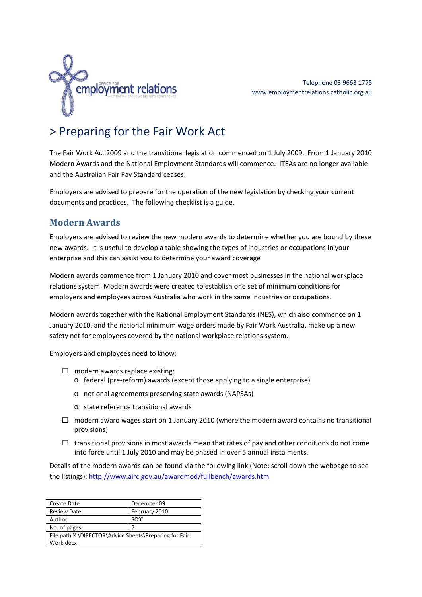

# > Preparing for the Fair Work Act

The Fair Work Act 2009 and the transitional legislation commenced on 1 July 2009. From 1 January 2010 Modern Awards and the National Employment Standards will commence. ITEAs are no longer available and the Australian Fair Pay Standard ceases.

Employers are advised to prepare for the operation of the new legislation by checking your current documents and practices. The following checklist is a guide.

## **Modern Awards**

Employers are advised to review the new modern awards to determine whether you are bound by these new awards. It is useful to develop a table showing the types of industries or occupations in your enterprise and this can assist you to determine your award coverage

Modern awards commence from 1 January 2010 and cover most businesses in the national workplace relations system. Modern awards were created to establish one set of minimum conditions for employers and employees across Australia who work in the same industries or occupations.

Modern awards together with the National Employment Standards (NES), which also commence on 1 January 2010, and the national minimum wage orders made by Fair Work Australia, make up a new safety net for employees covered by the national workplace relations system.

Employers and employees need to know:

- $\Box$  modern awards replace existing:
	- o federal (pre‐reform) awards (except those applying to a single enterprise)
	- o notional agreements preserving state awards (NAPSAs)
	- o state reference transitional awards
- $\Box$  modern award wages start on 1 January 2010 (where the modern award contains no transitional provisions)
- $\Box$  transitional provisions in most awards mean that rates of pay and other conditions do not come into force until 1 July 2010 and may be phased in over 5 annual instalments.

Details of the modern awards can be found via the following link (Note: scroll down the webpage to see the listings): http://www.airc.gov.au/awardmod/fullbench/awards.htm

| Create Date                                            | December 09   |  |
|--------------------------------------------------------|---------------|--|
| <b>Review Date</b>                                     | February 2010 |  |
| Author                                                 | SO'C          |  |
| No. of pages                                           |               |  |
| File path X:\DIRECTOR\Advice Sheets\Preparing for Fair |               |  |
| Work.docx                                              |               |  |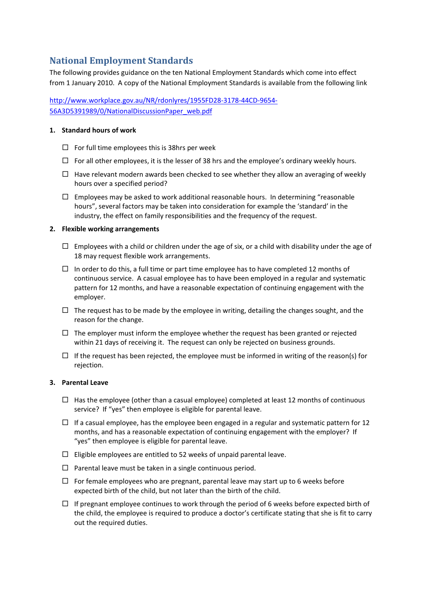# **National Employment Standards**

The following provides guidance on the ten National Employment Standards which come into effect from 1 January 2010. A copy of the National Employment Standards is available from the following link

http://www.workplace.gov.au/NR/rdonlyres/1955FD28‐3178‐44CD‐9654‐ 56A3D5391989/0/NationalDiscussionPaper\_web.pdf

#### **1. Standard hours of work**

- $\Box$  For full time employees this is 38hrs per week
- $\Box$  For all other employees, it is the lesser of 38 hrs and the employee's ordinary weekly hours.
- $\Box$  Have relevant modern awards been checked to see whether they allow an averaging of weekly hours over a specified period?
- $\Box$  Employees may be asked to work additional reasonable hours. In determining "reasonable hours", several factors may be taken into consideration for example the 'standard' in the industry, the effect on family responsibilities and the frequency of the request.

#### **2. Flexible working arrangements**

- $\Box$  Employees with a child or children under the age of six, or a child with disability under the age of 18 may request flexible work arrangements.
- $\Box$  In order to do this, a full time or part time employee has to have completed 12 months of continuous service. A casual employee has to have been employed in a regular and systematic pattern for 12 months, and have a reasonable expectation of continuing engagement with the employer.
- $\Box$  The request has to be made by the employee in writing, detailing the changes sought, and the reason for the change.
- $\Box$  The employer must inform the employee whether the request has been granted or rejected within 21 days of receiving it. The request can only be rejected on business grounds.
- $\Box$  If the request has been rejected, the employee must be informed in writing of the reason(s) for rejection.

#### **3. Parental Leave**

- $\Box$  Has the employee (other than a casual employee) completed at least 12 months of continuous service? If "yes" then employee is eligible for parental leave.
- $\Box$  If a casual employee, has the employee been engaged in a regular and systematic pattern for 12 months, and has a reasonable expectation of continuing engagement with the employer? If "yes" then employee is eligible for parental leave.
- $\Box$  Eligible employees are entitled to 52 weeks of unpaid parental leave.
- $\Box$  Parental leave must be taken in a single continuous period.
- $\Box$  For female employees who are pregnant, parental leave may start up to 6 weeks before expected birth of the child, but not later than the birth of the child.
- $\Box$  If pregnant employee continues to work through the period of 6 weeks before expected birth of the child, the employee is required to produce a doctor's certificate stating that she is fit to carry out the required duties.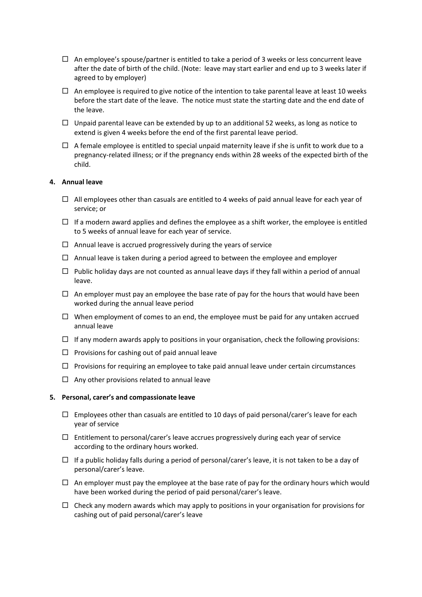- $\Box$  An employee's spouse/partner is entitled to take a period of 3 weeks or less concurrent leave after the date of birth of the child. (Note: leave may start earlier and end up to 3 weeks later if agreed to by employer)
- $\Box$  An employee is required to give notice of the intention to take parental leave at least 10 weeks before the start date of the leave. The notice must state the starting date and the end date of the leave.
- $\Box$  Unpaid parental leave can be extended by up to an additional 52 weeks, as long as notice to extend is given 4 weeks before the end of the first parental leave period.
- $\Box$  A female employee is entitled to special unpaid maternity leave if she is unfit to work due to a pregnancy‐related illness; or if the pregnancy ends within 28 weeks of the expected birth of the child.

#### **4. Annual leave**

- $\Box$  All employees other than casuals are entitled to 4 weeks of paid annual leave for each year of service; or
- $\Box$  If a modern award applies and defines the employee as a shift worker, the employee is entitled to 5 weeks of annual leave for each year of service.
- $\Box$  Annual leave is accrued progressively during the years of service
- $\Box$  Annual leave is taken during a period agreed to between the employee and employer
- $\Box$  Public holiday days are not counted as annual leave days if they fall within a period of annual leave.
- $\Box$  An employer must pay an employee the base rate of pay for the hours that would have been worked during the annual leave period
- $\Box$  When employment of comes to an end, the employee must be paid for any untaken accrued annual leave
- $\Box$  If any modern awards apply to positions in your organisation, check the following provisions:
- $\Box$  Provisions for cashing out of paid annual leave
- $\Box$  Provisions for requiring an employee to take paid annual leave under certain circumstances
- $\Box$  Any other provisions related to annual leave

#### **5. Personal, carer's and compassionate leave**

- $\Box$  Employees other than casuals are entitled to 10 days of paid personal/carer's leave for each year of service
- $\Box$  Entitlement to personal/carer's leave accrues progressively during each year of service according to the ordinary hours worked.
- $\Box$  If a public holiday falls during a period of personal/carer's leave, it is not taken to be a day of personal/carer's leave.
- $\Box$  An employer must pay the employee at the base rate of pay for the ordinary hours which would have been worked during the period of paid personal/carer's leave.
- $\Box$  Check any modern awards which may apply to positions in your organisation for provisions for cashing out of paid personal/carer's leave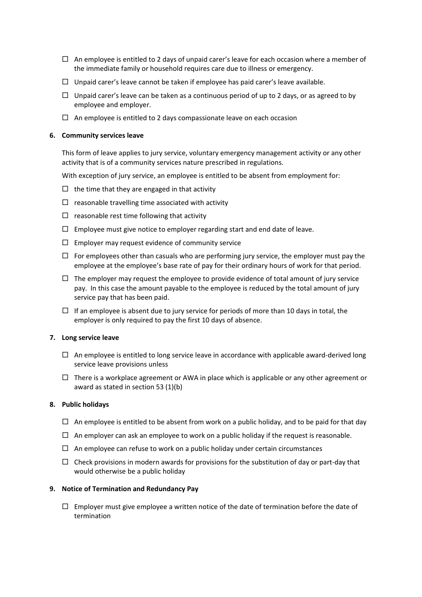- $\Box$  An employee is entitled to 2 days of unpaid carer's leave for each occasion where a member of the immediate family or household requires care due to illness or emergency.
- $\Box$  Unpaid carer's leave cannot be taken if employee has paid carer's leave available.
- $\Box$  Unpaid carer's leave can be taken as a continuous period of up to 2 days, or as agreed to by employee and employer.
- $\Box$  An employee is entitled to 2 days compassionate leave on each occasion

#### **6. Community services leave**

This form of leave applies to jury service, voluntary emergency management activity or any other activity that is of a community services nature prescribed in regulations.

With exception of jury service, an employee is entitled to be absent from employment for:

- $\Box$  the time that they are engaged in that activity
- $\Box$  reasonable travelling time associated with activity
- $\Box$  reasonable rest time following that activity
- $\Box$  Employee must give notice to employer regarding start and end date of leave.
- $\square$  Employer may request evidence of community service
- $\Box$  For employees other than casuals who are performing jury service, the employer must pay the employee at the employee's base rate of pay for their ordinary hours of work for that period.
- $\Box$  The employer may request the employee to provide evidence of total amount of jury service pay. In this case the amount payable to the employee is reduced by the total amount of jury service pay that has been paid.
- $\Box$  If an employee is absent due to jury service for periods of more than 10 days in total, the employer is only required to pay the first 10 days of absence.

#### **7. Long service leave**

- $\Box$  An employee is entitled to long service leave in accordance with applicable award-derived long service leave provisions unless
- $\Box$  There is a workplace agreement or AWA in place which is applicable or any other agreement or award as stated in section 53 (1)(b)

#### **8. Public holidays**

- $\Box$  An employee is entitled to be absent from work on a public holiday, and to be paid for that day
- $\Box$  An employer can ask an employee to work on a public holiday if the request is reasonable.
- $\Box$  An employee can refuse to work on a public holiday under certain circumstances
- $\Box$  Check provisions in modern awards for provisions for the substitution of day or part-day that would otherwise be a public holiday

#### **9. Notice of Termination and Redundancy Pay**

 $\Box$  Employer must give employee a written notice of the date of termination before the date of termination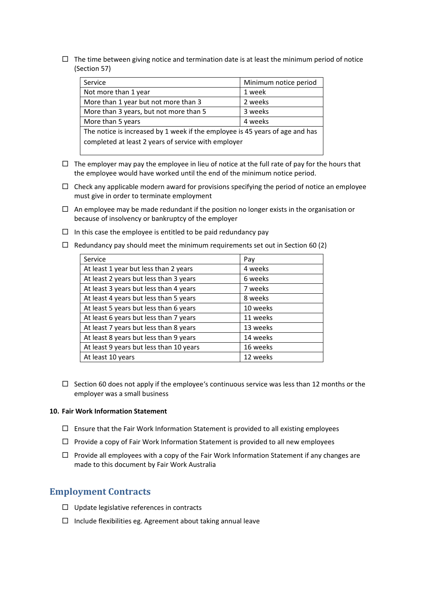$\Box$  The time between giving notice and termination date is at least the minimum period of notice (Section 57)

| Service                                                                      | Minimum notice period |  |
|------------------------------------------------------------------------------|-----------------------|--|
| Not more than 1 year                                                         | 1 week                |  |
| More than 1 year but not more than 3                                         | 2 weeks               |  |
| More than 3 years, but not more than 5                                       | 3 weeks               |  |
| More than 5 years                                                            | 4 weeks               |  |
| The notice is increased by 1 week if the employee is 45 years of age and has |                       |  |
| completed at least 2 years of service with employer                          |                       |  |

- $\Box$  The employer may pay the employee in lieu of notice at the full rate of pay for the hours that the employee would have worked until the end of the minimum notice period.
- $\Box$  Check any applicable modern award for provisions specifying the period of notice an employee must give in order to terminate employment
- $\Box$  An employee may be made redundant if the position no longer exists in the organisation or because of insolvency or bankruptcy of the employer
- $\Box$  In this case the employee is entitled to be paid redundancy pay
- $\Box$  Redundancy pay should meet the minimum requirements set out in Section 60 (2)

| Service                                 | Pay      |
|-----------------------------------------|----------|
| At least 1 year but less than 2 years   | 4 weeks  |
| At least 2 years but less than 3 years  | 6 weeks  |
| At least 3 years but less than 4 years  | 7 weeks  |
| At least 4 years but less than 5 years  | 8 weeks  |
| At least 5 years but less than 6 years  | 10 weeks |
| At least 6 years but less than 7 years  | 11 weeks |
| At least 7 years but less than 8 years  | 13 weeks |
| At least 8 years but less than 9 years  | 14 weeks |
| At least 9 years but less than 10 years | 16 weeks |
| At least 10 years                       | 12 weeks |

 $\Box$  Section 60 does not apply if the employee's continuous service was less than 12 months or the employer was a small business

#### **10. Fair Work Information Statement**

- $\Box$  Ensure that the Fair Work Information Statement is provided to all existing employees
- $\Box$  Provide a copy of Fair Work Information Statement is provided to all new employees
- $\Box$  Provide all employees with a copy of the Fair Work Information Statement if any changes are made to this document by Fair Work Australia

### **Employment Contracts**

- $\Box$  Update legislative references in contracts
- $\Box$  Include flexibilities eg. Agreement about taking annual leave